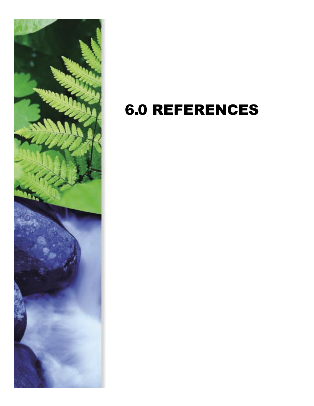

## 6.0 REFERENCES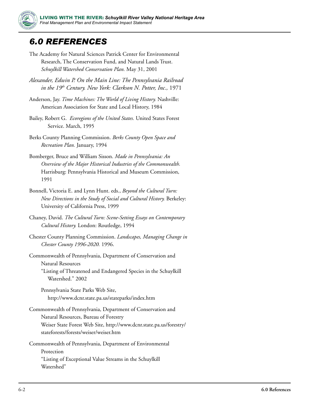

## *6.0 REFERENCES*

- The Academy for Natural Sciences Patrick Center for Environmental Research, The Conservation Fund, and Natural Lands Trust. *Schuylkill Watershed Conservation Plan.* May 31, 2001
- *Alexander, Edwin P. On the Main Line: The Pennsylvania Railroad in the 19th Century. New York: Clarkson N. Potter, Inc.,* 1971
- Anderson, Jay. *Time Machines: The World of Living History.* Nashville: American Association for State and Local History, 1984
- Bailey, Robert G. *Ecoregions of the United States.* United States Forest Service. March, 1995
- Berks County Planning Commission. *Berks County Open Space and Recreation Plan.* January, 1994
- Bomberger, Bruce and William Sisson. *Made in Pennsylvania: An Overview of the Major Historical Industries of the Commonwealth.*  Harrisburg: Pennsylvania Historical and Museum Commission, 1991
- Bonnell, Victoria E. and Lynn Hunt. eds., *Beyond the Cultural Turn: New Directions in the Study of Social and Cultural History.* Berkeley: University of California Press, 1999
- Chaney, David. *The Cultural Turn: Scene-Setting Essays on Contemporary Cultural History.* London: Routledge, 1994
- Chester County Planning Commission. *Landscapes, Managing Change in Chester County 1996-2020.* 1996.
- Commonwealth of Pennsylvania, Department of Conservation and Natural Resources "Listing of Threatened and Endangered Species in the Schuylkill Watershed." 2002

Pennsylvania State Parks Web Site, http://www.dcnr.state.pa.us/stateparks/index.htm

Commonwealth of Pennsylvania, Department of Conservation and Natural Resources, Bureau of Forestry Weiser State Forest Web Site, http://www.dcnr.state.pa.us/forestry/ stateforests/forests/weiser/weiser.htm

Commonwealth of Pennsylvania, Department of Environmental Protection "Listing of Exceptional Value Streams in the Schuylkill Watershed"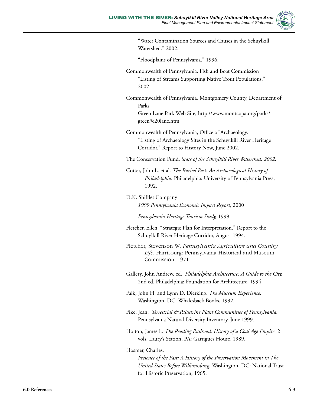

"Water Contamination Sources and Causes in the Schuylkill Watershed." 2002.

"Floodplains of Pennsylvania." 1996.

- Commonwealth of Pennsylvania, Fish and Boat Commission "Listing of Streams Supporting Native Trout Populations." 2002.
- Commonwealth of Pennsylvania, Montgomery County, Department of Parks

Green Lane Park Web Site, http://www.montcopa.org/parks/ green%20lane.htm

Commonwealth of Pennsylvania, Office of Archaeology. "Listing of Archaeology Sites in the Schuylkill River Heritage Corridor." Report to History Now, June 2002.

The Conservation Fund. *State of the Schuylkill River Watershed. 2002.*

Cotter, John L. et al. *The Buried Past: An Archaeological History of Philadelphia.* Philadelphia: University of Pennsylvania Press, 1992.

D.K. Shifflet Company *1999 Pennsylvania Economic Impact Report*, 2000

*Pennsylvania Heritage Tourism Study,* 1999

- Fletcher, Ellen. "Strategic Plan for Interpretation." Report to the Schuylkill River Heritage Corridor, August 1994.
- Fletcher, Stevenson W. *Pennsylvania Agriculture and Country Life.* Harrisburg: Pennsylvania Historical and Museum Commission, 1971.
- Gallery, John Andrew. ed., *Philadelphia Architecture: A Guide to the City.*  2nd ed. Philadelphia: Foundation for Architecture, 1994.
- Falk, John H. and Lynn D. Dierking. *The Museum Experience.*  Washington, DC: Whalesback Books, 1992.
- Fike, Jean. *Terrestrial & Palustrine Plant Communities of Pennsylvania.* Pennsylvania Natural Diversity Inventory. June 1999.
- Holton, James L. *The Reading Railroad: History of a Coal Age Empire.* 2 vols. Laury's Station, PA: Garrigues House, 1989.

## Hosmer, Charles.

*Presence of the Past: A History of the Preservation Movement in The United States Before Williamsburg.* Washington, DC: National Trust for Historic Preservation, 1965.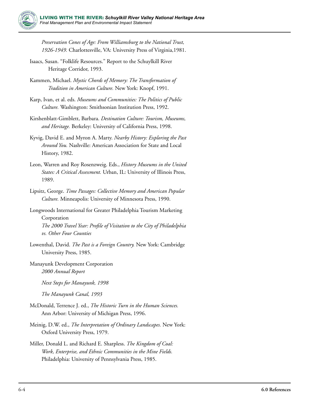

*Preservation Cones of Age: From Williamsburg to the National Trust, 1926-1949.* Charlottesville, VA: University Press of Virginia,1981.

- Isaacs, Susan. "Folklife Resources." Report to the Schuylkill River Heritage Corridor, 1993.
- Kammen, Michael. *Mystic Chords of Memory: The Transformation of Tradition in American Culture.* New York: Knopf, 1991.
- Karp, Ivan, et al. eds. *Museums and Communities: The Politics of Public Culture.* Washington: Smithsonian Institution Press, 1992.
- Kirshenblatt-Gimblett, Barbara. *Destination Culture: Tourism, Museums, and Heritage.* Berkeley: University of California Press, 1998.
- Kyvig, David E. and Myron A. Marty. *Nearby History: Exploring the Past Around You.* Nashville: American Association for State and Local History, 1982.
- Leon, Warren and Roy Rosenzweig. Eds., *History Museums in the United States: A Critical Assessment.* Urban, IL: University of Illinois Press, 1989.
- Lipsitz, George. *Time Passages: Collective Memory and American Popular Culture.* Minneapolis: University of Minnesota Press, 1990.
- Longwoods International for Greater Philadelphia Tourism Marketing Corporation *The 2000 Travel Year: Profile of Visitation to the City of Philadelphia vs. Other Four Counties*
- Lowenthal, David. *The Past is a Foreign Country.* New York: Cambridge University Press, 1985.
- Manayunk Development Corporation *2000 Annual Report*

*Next Steps for Manayunk, 1998*

*The Manayunk Canal, 1993*

- McDonald, Terrence J. ed., *The Historic Turn in the Human Sciences.*  Ann Arbor: University of Michigan Press, 1996.
- Meinig, D.W. ed., *The Interpretation of Ordinary Landscapes.* New York: Oxford University Press, 1979.
- Miller, Donald L. and Richard E. Sharpless. *The Kingdom of Coal: Work, Enterprise, and Ethnic Communities in the Mine Fields.*  Philadelphia: University of Pennsylvania Press, 1985.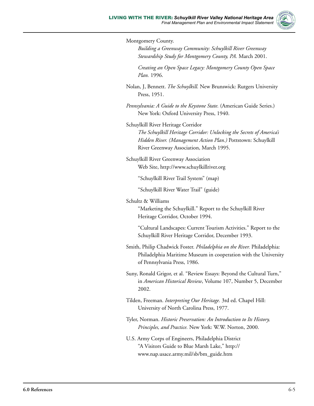

Montgomery County. *Building a Greenway Community: Schuylkill River Greenway Stewardship Study for Montgomery County, PA.* March 2001. *Creating an Open Space Legacy: Montgomery County Open Space Plan.* 1996. Nolan, J, Bennett. *The Schuylkill.* New Brunswick: Rutgers University Press, 1951. *Pennsylvania: A Guide to the Keystone State.* (American Guide Series.) New York: Oxford University Press, 1940. Schuylkill River Heritage Corridor *The Schuylkill Heritage Corridor: Unlocking the Secrets of America's Hidden River. (Management Action Plan.)* Pottstown: Schuylkill River Greenway Association, March 1995. Schuylkill River Greenway Association Web Site, http://www.schuylkillriver.org "Schuylkill River Trail System" (map) "Schuylkill River Water Trail" (guide) Schultz & Williams "Marketing the Schuylkill." Report to the Schuylkill River Heritage Corridor, October 1994. "Cultural Landscapes: Current Tourism Activities." Report to the Schuylkill River Heritage Corridor, December 1993. Smith, Philip Chadwick Foster. *Philadelphia on the River.* Philadelphia: Philadelphia Maritime Museum in cooperation with the University of Pennsylvania Press, 1986. Suny, Ronald Grigor, et al. "Review Essays: Beyond the Cultural Turn," in *American Historical Review*, Volume 107, Number 5, December 2002. Tilden, Freeman. *Interpreting Our Heritage.* 3rd ed. Chapel Hill: University of North Carolina Press, 1977. Tyler, Norman. *Historic Preservation: An Introduction to Its History, Principles, and Practice.* New York: W.W. Norton, 2000. U.S. Army Corps of Engineers, Philadelphia District